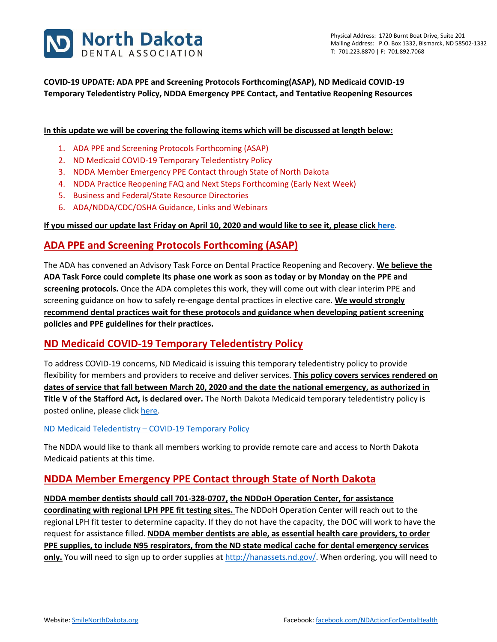

## **COVID-19 UPDATE: ADA PPE and Screening Protocols Forthcoming(ASAP), ND Medicaid COVID-19 Temporary Teledentistry Policy, NDDA Emergency PPE Contact, and Tentative Reopening Resources**

### **In this update we will be covering the following items which will be discussed at length below:**

- 1. ADA PPE and Screening Protocols Forthcoming (ASAP)
- 2. ND Medicaid COVID-19 Temporary Teledentistry Policy
- 3. NDDA Member Emergency PPE Contact through State of North Dakota
- 4. NDDA Practice Reopening FAQ and Next Steps Forthcoming (Early Next Week)
- 5. Business and Federal/State Resource Directories
- 6. ADA/NDDA/CDC/OSHA Guidance, Links and Webinars

#### **If you missed our update last Friday on April 10, 2020 and would like to see it, please clic[k here](https://www.smilenorthdakota.org/docs/librariesprovider39/default-document-library/covid-19-april-10-2020-update.pdf?sfvrsn=2)**.

## **ADA PPE and Screening Protocols Forthcoming (ASAP)**

The ADA has convened an Advisory Task Force on Dental Practice Reopening and Recovery. **We believe the ADA Task Force could complete its phase one work as soon as today or by Monday on the PPE and screening protocols.** Once the ADA completes this work, they will come out with clear interim PPE and screening guidance on how to safely re-engage dental practices in elective care. **We would strongly recommend dental practices wait for these protocols and guidance when developing patient screening policies and PPE guidelines for their practices.**

## **ND Medicaid COVID-19 Temporary Teledentistry Policy**

To address COVID-19 concerns, ND Medicaid is issuing this temporary teledentistry policy to provide flexibility for members and providers to receive and deliver services. **This policy covers services rendered on dates of service that fall between March 20, 2020 and the date the national emergency, as authorized in Title V of the Stafford Act, is declared over.** The North Dakota Medicaid temporary teledentistry policy is posted online, please clic[k here.](http://www.nd.gov/dhs/info/covid-19/program-policy.html)

#### ND Medicaid Teledentistry – [COVID-19 Temporary Policy](http://www.nd.gov/dhs/info/covid-19/docs/policy-medicaid-temporary-teledentistry.pdf)

The NDDA would like to thank all members working to provide remote care and access to North Dakota Medicaid patients at this time.

## **NDDA Member Emergency PPE Contact through State of North Dakota**

#### **NDDA member dentists should call 701-328-0707, the NDDoH Operation Center, for assistance**

**coordinating with regional LPH PPE fit testing sites.** The NDDoH Operation Center will reach out to the regional LPH fit tester to determine capacity. If they do not have the capacity, the DOC will work to have the request for assistance filled. **NDDA member dentists are able, as essential health care providers, to order PPE supplies, to include N95 respirators, from the ND state medical cache for dental emergency services only.** You will need to sign up to order supplies a[t http://hanassets.nd.gov/.](http://hanassets.nd.gov/) When ordering, you will need to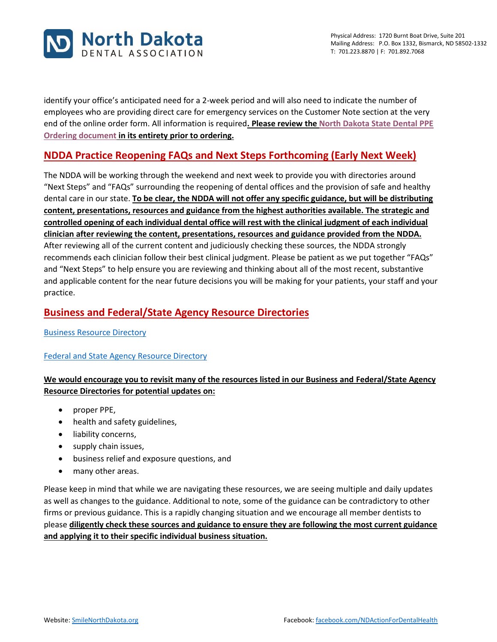

identify your office's anticipated need for a 2-week period and will also need to indicate the number of employees who are providing direct care for emergency services on the Customer Note section at the very end of the online order form. All information is required**. Please review the [North Dakota State Dental PPE](https://sitefinity.ada.org/docs/librariesprovider39/north-dakota/covid-19-april-10-2020-update-ppe.pdf?sfvrsn=2)  [Ordering document](https://sitefinity.ada.org/docs/librariesprovider39/north-dakota/covid-19-april-10-2020-update-ppe.pdf?sfvrsn=2) in its entirety prior to ordering.**

# **NDDA Practice Reopening FAQs and Next Steps Forthcoming (Early Next Week)**

The NDDA will be working through the weekend and next week to provide you with directories around "Next Steps" and "FAQs" surrounding the reopening of dental offices and the provision of safe and healthy dental care in our state. **To be clear, the NDDA will not offer any specific guidance, but will be distributing content, presentations, resources and guidance from the highest authorities available. The strategic and controlled opening of each individual dental office will rest with the clinical judgment of each individual clinician after reviewing the content, presentations, resources and guidance provided from the NDDA.** After reviewing all of the current content and judiciously checking these sources, the NDDA strongly recommends each clinician follow their best clinical judgment. Please be patient as we put together "FAQs" and "Next Steps" to help ensure you are reviewing and thinking about all of the most recent, substantive and applicable content for the near future decisions you will be making for your patients, your staff and your practice.

## **Business and Federal/State Agency Resource Directories**

[Business Resource Directory](https://www.smilenorthdakota.org/docs/librariesprovider39/default-document-library/business-covid-19-resource-directory1.pdf?sfvrsn=2)

### [Federal and State Agency Resource Directory](https://www.smilenorthdakota.org/docs/librariesprovider39/default-document-library/federal-amp-state-covid-19-resource-directory.pdf?sfvrsn=2)

## **We would encourage you to revisit many of the resources listed in our Business and Federal/State Agency Resource Directories for potential updates on:**

- proper PPE,
- health and safety guidelines,
- liability concerns,
- supply chain issues,
- business relief and exposure questions, and
- many other areas.

Please keep in mind that while we are navigating these resources, we are seeing multiple and daily updates as well as changes to the guidance. Additional to note, some of the guidance can be contradictory to other firms or previous guidance. This is a rapidly changing situation and we encourage all member dentists to please **diligently check these sources and guidance to ensure they are following the most current guidance and applying it to their specific individual business situation.**